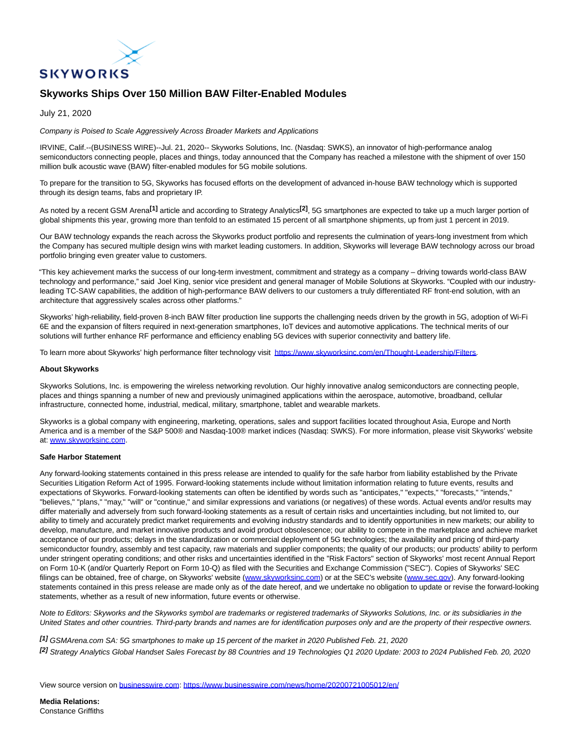

## **Skyworks Ships Over 150 Million BAW Filter-Enabled Modules**

July 21, 2020

Company is Poised to Scale Aggressively Across Broader Markets and Applications

IRVINE, Calif.--(BUSINESS WIRE)--Jul. 21, 2020-- Skyworks Solutions, Inc. (Nasdaq: SWKS), an innovator of high-performance analog semiconductors connecting people, places and things, today announced that the Company has reached a milestone with the shipment of over 150 million bulk acoustic wave (BAW) filter-enabled modules for 5G mobile solutions.

To prepare for the transition to 5G, Skyworks has focused efforts on the development of advanced in-house BAW technology which is supported through its design teams, fabs and proprietary IP.

As noted by a recent GSM Arena**[1]** article and according to Strategy Analytics**[2]**, 5G smartphones are expected to take up a much larger portion of global shipments this year, growing more than tenfold to an estimated 15 percent of all smartphone shipments, up from just 1 percent in 2019.

Our BAW technology expands the reach across the Skyworks product portfolio and represents the culmination of years-long investment from which the Company has secured multiple design wins with market leading customers. In addition, Skyworks will leverage BAW technology across our broad portfolio bringing even greater value to customers.

"This key achievement marks the success of our long-term investment, commitment and strategy as a company – driving towards world-class BAW technology and performance," said Joel King, senior vice president and general manager of Mobile Solutions at Skyworks. "Coupled with our industryleading TC-SAW capabilities, the addition of high-performance BAW delivers to our customers a truly differentiated RF front-end solution, with an architecture that aggressively scales across other platforms."

Skyworks' high-reliability, field-proven 8-inch BAW filter production line supports the challenging needs driven by the growth in 5G, adoption of Wi-Fi 6E and the expansion of filters required in next-generation smartphones, IoT devices and automotive applications. The technical merits of our solutions will further enhance RF performance and efficiency enabling 5G devices with superior connectivity and battery life.

To learn more about Skyworks' high performance filter technology visit [https://www.skyworksinc.com/en/Thought-Leadership/Filters.](https://cts.businesswire.com/ct/CT?id=smartlink&url=https%3A%2F%2Fwww.skyworksinc.com%2Fen%2FThought-Leadership%2FFilters&esheet=52251561&newsitemid=20200721005012&lan=en-US&anchor=https%3A%2F%2Fwww.skyworksinc.com%2Fen%2FThought-Leadership%2FFilters&index=1&md5=ccd07f7462a6547d101a47fc59efd00b)

## **About Skyworks**

Skyworks Solutions, Inc. is empowering the wireless networking revolution. Our highly innovative analog semiconductors are connecting people, places and things spanning a number of new and previously unimagined applications within the aerospace, automotive, broadband, cellular infrastructure, connected home, industrial, medical, military, smartphone, tablet and wearable markets.

Skyworks is a global company with engineering, marketing, operations, sales and support facilities located throughout Asia, Europe and North America and is a member of the S&P 500® and Nasdaq-100® market indices (Nasdaq: SWKS). For more information, please visit Skyworks' website at: [www.skyworksinc.com.](https://cts.businesswire.com/ct/CT?id=smartlink&url=http%3A%2F%2Fwww.skyworksinc.com&esheet=52251561&newsitemid=20200721005012&lan=en-US&anchor=www.skyworksinc.com&index=2&md5=d2ef6b8f8c43dc543dfd71a2b5bf0b8b)

## **Safe Harbor Statement**

Any forward-looking statements contained in this press release are intended to qualify for the safe harbor from liability established by the Private Securities Litigation Reform Act of 1995. Forward-looking statements include without limitation information relating to future events, results and expectations of Skyworks. Forward-looking statements can often be identified by words such as "anticipates," "expects," "forecasts," "intends," "believes," "plans," "may," "will" or "continue," and similar expressions and variations (or negatives) of these words. Actual events and/or results may differ materially and adversely from such forward-looking statements as a result of certain risks and uncertainties including, but not limited to, our ability to timely and accurately predict market requirements and evolving industry standards and to identify opportunities in new markets; our ability to develop, manufacture, and market innovative products and avoid product obsolescence; our ability to compete in the marketplace and achieve market acceptance of our products; delays in the standardization or commercial deployment of 5G technologies; the availability and pricing of third-party semiconductor foundry, assembly and test capacity, raw materials and supplier components; the quality of our products; our products' ability to perform under stringent operating conditions; and other risks and uncertainties identified in the "Risk Factors" section of Skyworks' most recent Annual Report on Form 10-K (and/or Quarterly Report on Form 10-Q) as filed with the Securities and Exchange Commission ("SEC"). Copies of Skyworks' SEC filings can be obtained, free of charge, on Skyworks' website [\(www.skyworksinc.com\)](https://cts.businesswire.com/ct/CT?id=smartlink&url=http%3A%2F%2Fwww.skyworksinc.com%2F&esheet=52251561&newsitemid=20200721005012&lan=en-US&anchor=www.skyworksinc.com&index=3&md5=a956026492a6fe0f75e68e638329abc0) or at the SEC's website [\(www.sec.gov\).](https://cts.businesswire.com/ct/CT?id=smartlink&url=http%3A%2F%2Fwww.sec.gov%2F&esheet=52251561&newsitemid=20200721005012&lan=en-US&anchor=www.sec.gov&index=4&md5=a391202c7ded83a215ec158d704bef9b) Any forward-looking statements contained in this press release are made only as of the date hereof, and we undertake no obligation to update or revise the forward-looking statements, whether as a result of new information, future events or otherwise.

Note to Editors: Skyworks and the Skyworks symbol are trademarks or registered trademarks of Skyworks Solutions, Inc. or its subsidiaries in the United States and other countries. Third-party brands and names are for identification purposes only and are the property of their respective owners.

**[1]** GSMArena.com SA: 5G smartphones to make up 15 percent of the market in 2020 Published Feb. 21, 2020 **[2]** Strategy Analytics Global Handset Sales Forecast by 88 Countries and 19 Technologies Q1 2020 Update: 2003 to 2024 Published Feb. 20, 2020

View source version on [businesswire.com:](http://businesswire.com/)<https://www.businesswire.com/news/home/20200721005012/en/>